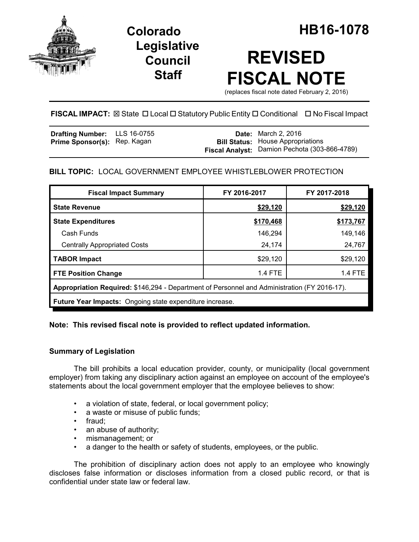

**Legislative Council Staff**

# **REVISED FISCAL NOTE**

(replaces fiscal note dated February 2, 2016)

# **FISCAL IMPACT:** ⊠ State □ Local □ Statutory Public Entity □ Conditional □ No Fiscal Impact

| <b>Drafting Number:</b> LLS 16-0755 |  | <b>Date:</b> March 2, 2016                    |
|-------------------------------------|--|-----------------------------------------------|
| <b>Prime Sponsor(s): Rep. Kagan</b> |  | <b>Bill Status:</b> House Appropriations      |
|                                     |  | Fiscal Analyst: Damion Pechota (303-866-4789) |

## **BILL TOPIC:** LOCAL GOVERNMENT EMPLOYEE WHISTLEBLOWER PROTECTION

| <b>Fiscal Impact Summary</b>                                                                 | FY 2016-2017   | FY 2017-2018   |  |  |  |
|----------------------------------------------------------------------------------------------|----------------|----------------|--|--|--|
| <b>State Revenue</b>                                                                         | \$29,120       | \$29,120       |  |  |  |
| <b>State Expenditures</b>                                                                    | \$170,468      | \$173,767      |  |  |  |
| Cash Funds                                                                                   | 146,294        | 149,146        |  |  |  |
| <b>Centrally Appropriated Costs</b>                                                          | 24,174         | 24,767         |  |  |  |
| <b>TABOR Impact</b>                                                                          | \$29,120       | \$29,120       |  |  |  |
| <b>FTE Position Change</b>                                                                   | <b>1.4 FTE</b> | <b>1.4 FTE</b> |  |  |  |
| Appropriation Required: \$146,294 - Department of Personnel and Administration (FY 2016-17). |                |                |  |  |  |
| <b>Future Year Impacts:</b> Ongoing state expenditure increase.                              |                |                |  |  |  |
|                                                                                              |                |                |  |  |  |

## **Note: This revised fiscal note is provided to reflect updated information.**

## **Summary of Legislation**

The bill prohibits a local education provider, county, or municipality (local government employer) from taking any disciplinary action against an employee on account of the employee's statements about the local government employer that the employee believes to show:

- a violation of state, federal, or local government policy;
- a waste or misuse of public funds;
- fraud;
- an abuse of authority;
- mismanagement; or
- a danger to the health or safety of students, employees, or the public.

The prohibition of disciplinary action does not apply to an employee who knowingly discloses false information or discloses information from a closed public record, or that is confidential under state law or federal law.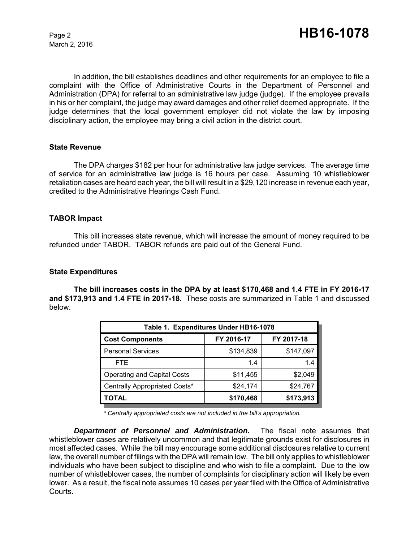March 2, 2016

In addition, the bill establishes deadlines and other requirements for an employee to file a complaint with the Office of Administrative Courts in the Department of Personnel and Administration (DPA) for referral to an administrative law judge (judge). If the employee prevails in his or her complaint, the judge may award damages and other relief deemed appropriate. If the judge determines that the local government employer did not violate the law by imposing disciplinary action, the employee may bring a civil action in the district court.

#### **State Revenue**

The DPA charges \$182 per hour for administrative law judge services. The average time of service for an administrative law judge is 16 hours per case. Assuming 10 whistleblower retaliation cases are heard each year, the bill will result in a \$29,120 increase in revenue each year, credited to the Administrative Hearings Cash Fund.

#### **TABOR Impact**

This bill increases state revenue, which will increase the amount of money required to be refunded under TABOR. TABOR refunds are paid out of the General Fund.

#### **State Expenditures**

**The bill increases costs in the DPA by at least \$170,468 and 1.4 FTE in FY 2016-17 and \$173,913 and 1.4 FTE in 2017-18.** These costs are summarized in Table 1 and discussed below.

| Table 1. Expenditures Under HB16-1078 |            |            |  |  |  |
|---------------------------------------|------------|------------|--|--|--|
| <b>Cost Components</b>                | FY 2016-17 | FY 2017-18 |  |  |  |
| <b>Personal Services</b>              | \$134,839  | \$147,097  |  |  |  |
| FTE.                                  | 1.4        | 1.4        |  |  |  |
| <b>Operating and Capital Costs</b>    | \$11,455   | \$2,049    |  |  |  |
| Centrally Appropriated Costs*         | \$24,174   | \$24,767   |  |  |  |
| ΤΟΤΑL                                 | \$170,468  | \$173,913  |  |  |  |

 *\* Centrally appropriated costs are not included in the bill's appropriation.*

*Department of Personnel and Administration.* The fiscal note assumes that whistleblower cases are relatively uncommon and that legitimate grounds exist for disclosures in most affected cases. While the bill may encourage some additional disclosures relative to current law, the overall number of filings with the DPA will remain low. The bill only applies to whistleblower individuals who have been subject to discipline and who wish to file a complaint. Due to the low number of whistleblower cases, the number of complaints for disciplinary action will likely be even lower. As a result, the fiscal note assumes 10 cases per year filed with the Office of Administrative Courts.